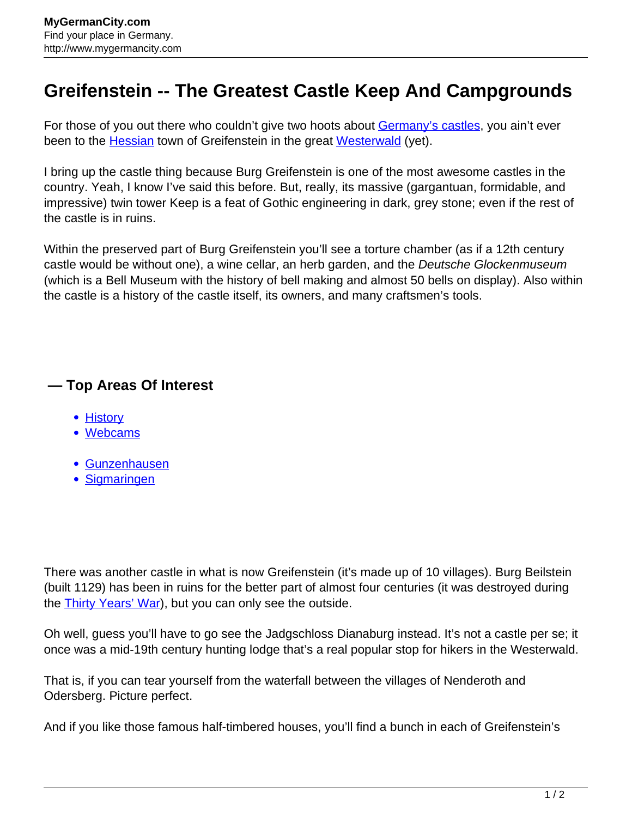## **Greifenstein -- The Greatest Castle Keep And Campgrounds**

For those of you out there who couldn't give two hoots about **[Germany's castles](http://www.mygermancity.com/german-castles)**, you ain't ever been to the **[Hessian](http://www.mygermancity.com/hesse)** town of Greifenstein in the great [Westerwald](http://www.mygermancity.com/westerwald) (yet).

I bring up the castle thing because Burg Greifenstein is one of the most awesome castles in the country. Yeah, I know I've said this before. But, really, its massive (gargantuan, formidable, and impressive) twin tower Keep is a feat of Gothic engineering in dark, grey stone; even if the rest of the castle is in ruins.

Within the preserved part of Burg Greifenstein you'll see a torture chamber (as if a 12th century castle would be without one), a wine cellar, an herb garden, and the Deutsche Glockenmuseum (which is a Bell Museum with the history of bell making and almost 50 bells on display). Also within the castle is a history of the castle itself, its owners, and many craftsmen's tools.

## **— Top Areas Of Interest**

- [History](http://www.mygermancity.com/leipzig-history)
- [Webcams](http://www.mygermancity.com/neustadt-holstein-webcams)
- [Gunzenhausen](http://www.mygermancity.com/gunzenhausen)
- [Sigmaringen](http://www.mygermancity.com/sigmaringen)

There was another castle in what is now Greifenstein (it's made up of 10 villages). Burg Beilstein (built 1129) has been in ruins for the better part of almost four centuries (it was destroyed during the **[Thirty Years' War](http://www.mygermancity.com/thirty-years-war)**), but you can only see the outside.

Oh well, guess you'll have to go see the Jadgschloss Dianaburg instead. It's not a castle per se; it once was a mid-19th century hunting lodge that's a real popular stop for hikers in the Westerwald.

That is, if you can tear yourself from the waterfall between the villages of Nenderoth and Odersberg. Picture perfect.

And if you like those famous half-timbered houses, you'll find a bunch in each of Greifenstein's